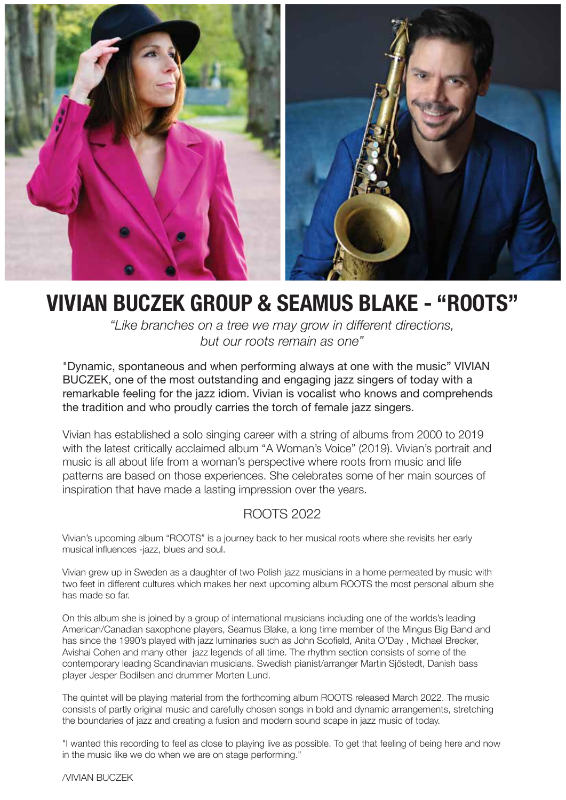

# **VIVIAN BUCZEK GROUP & SEAMUS BLAKE - "ROOTS"**

*"Like branches on a tree we may grow in different directions, but our roots remain as one"*

"Dynamic, spontaneous and when performing always at one with the music" VIVIAN BUCZEK, one of the most outstanding and engaging jazz singers of today with a remarkable feeling for the jazz idiom. Vivian is vocalist who knows and comprehends the tradition and who proudly carries the torch of female jazz singers.

Vivian has established a solo singing career with a string of albums from 2000 to 2019 with the latest critically acclaimed album "A Woman's Voice" (2019). Vivian's portrait and music is all about life from a woman's perspective where roots from music and life patterns are based on those experiences. She celebrates some of her main sources of inspiration that have made a lasting impression over the years.

### ROOTS 2022

Vivian's upcoming album "ROOTS" is a journey back to her musical roots where she revisits her early musical influences -jazz, blues and soul.

Vivian grew up in Sweden as a daughter of two Polish jazz musicians in a home permeated by music with two feet in different cultures which makes her next upcoming album ROOTS the most personal album she has made so far.

On this album she is joined by a group of international musicians including one of the worlds's leading American/Canadian saxophone players, Seamus Blake, a long time member of the Mingus Big Band and has since the 1990's played with jazz luminaries such as John Scofield, Anita O'Day , Michael Brecker, Avishai Cohen and many other jazz legends of all time. The rhythm section consists of some of the contemporary leading Scandinavian musicians. Swedish pianist/arranger Martin Sjöstedt, Danish bass player Jesper Bodilsen and drummer Morten Lund.

The quintet will be playing material from the forthcoming album ROOTS released March 2022. The music consists of partly original music and carefully chosen songs in bold and dynamic arrangements, stretching the boundaries of jazz and creating a fusion and modern sound scape in jazz music of today.

"I wanted this recording to feel as close to playing live as possible. To get that feeling of being here and now in the music like we do when we are on stage performing."

/VIVIAN BUCZEK